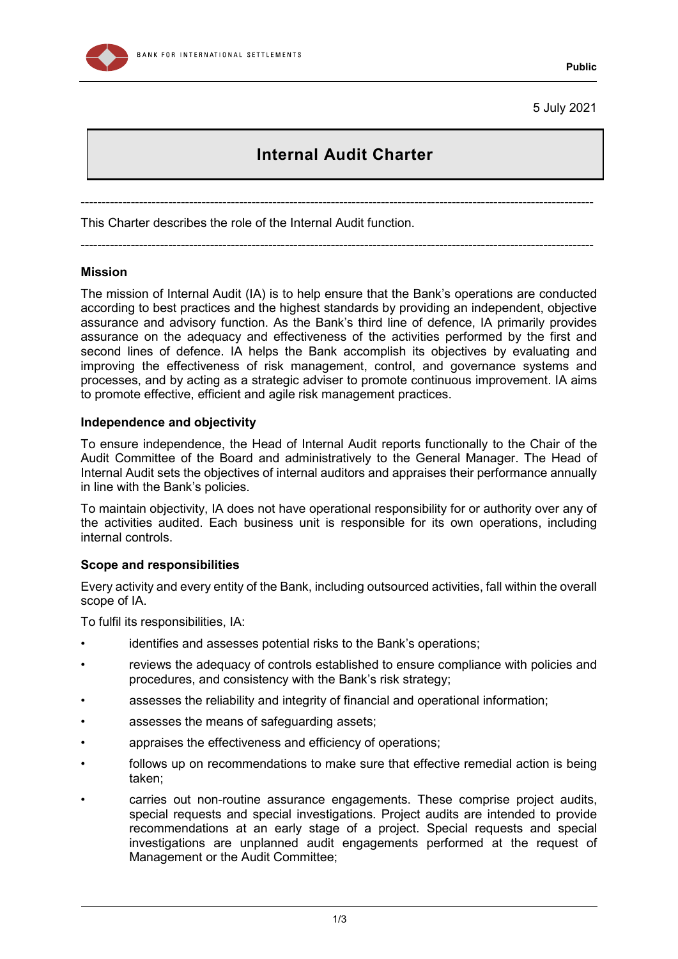

5 July 2021

# **Internal Audit Charter**

---------------------------------------------------------------------------------------------------------------------------

---------------------------------------------------------------------------------------------------------------------------

This Charter describes the role of the Internal Audit function.

# **Mission**

The mission of Internal Audit (IA) is to help ensure that the Bank's operations are conducted according to best practices and the highest standards by providing an independent, objective assurance and advisory function. As the Bank's third line of defence, IA primarily provides assurance on the adequacy and effectiveness of the activities performed by the first and second lines of defence. IA helps the Bank accomplish its objectives by evaluating and improving the effectiveness of risk management, control, and governance systems and processes, and by acting as a strategic adviser to promote continuous improvement. IA aims to promote effective, efficient and agile risk management practices.

# **Independence and objectivity**

To ensure independence, the Head of Internal Audit reports functionally to the Chair of the Audit Committee of the Board and administratively to the General Manager. The Head of Internal Audit sets the objectives of internal auditors and appraises their performance annually in line with the Bank's policies.

To maintain objectivity, IA does not have operational responsibility for or authority over any of the activities audited. Each business unit is responsible for its own operations, including internal controls.

#### **Scope and responsibilities**

Every activity and every entity of the Bank, including outsourced activities, fall within the overall scope of IA.

To fulfil its responsibilities, IA:

- identifies and assesses potential risks to the Bank's operations;
- reviews the adequacy of controls established to ensure compliance with policies and procedures, and consistency with the Bank's risk strategy;
- assesses the reliability and integrity of financial and operational information;
- assesses the means of safeguarding assets;
- appraises the effectiveness and efficiency of operations;
- follows up on recommendations to make sure that effective remedial action is being taken;
- carries out non-routine assurance engagements. These comprise project audits, special requests and special investigations. Project audits are intended to provide recommendations at an early stage of a project. Special requests and special investigations are unplanned audit engagements performed at the request of Management or the Audit Committee;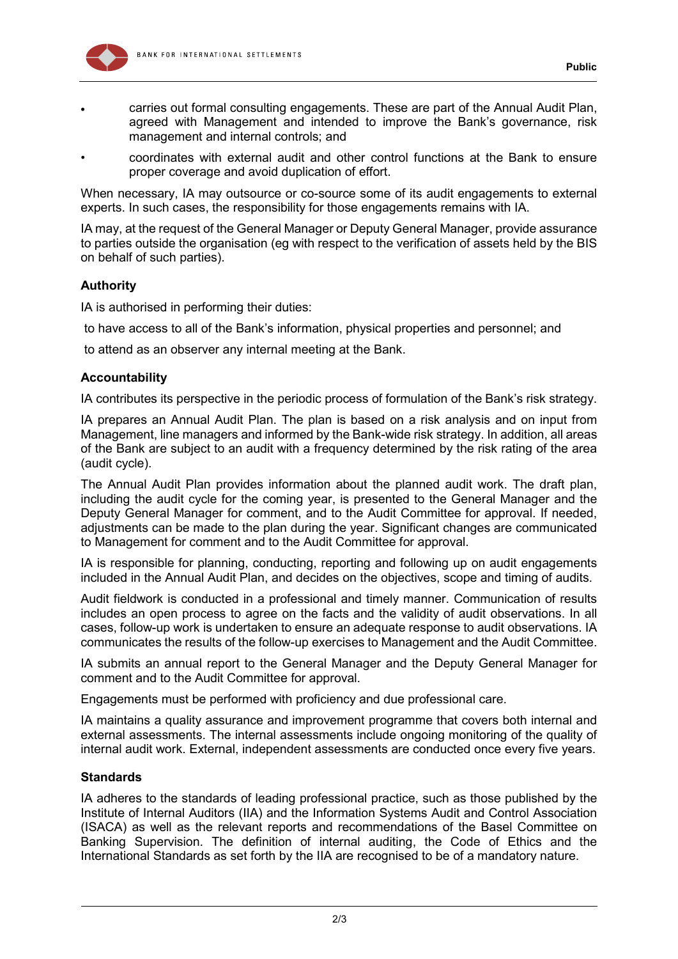

- carries out formal consulting engagements. These are part of the Annual Audit Plan, agreed with Management and intended to improve the Bank's governance, risk management and internal controls; and
- coordinates with external audit and other control functions at the Bank to ensure proper coverage and avoid duplication of effort.

When necessary, IA may outsource or co-source some of its audit engagements to external experts. In such cases, the responsibility for those engagements remains with IA.

IA may, at the request of the General Manager or Deputy General Manager, provide assurance to parties outside the organisation (eg with respect to the verification of assets held by the BIS on behalf of such parties).

# **Authority**

IA is authorised in performing their duties:

to have access to all of the Bank's information, physical properties and personnel; and

to attend as an observer any internal meeting at the Bank.

# **Accountability**

IA contributes its perspective in the periodic process of formulation of the Bank's risk strategy.

IA prepares an Annual Audit Plan. The plan is based on a risk analysis and on input from Management, line managers and informed by the Bank-wide risk strategy. In addition, all areas of the Bank are subject to an audit with a frequency determined by the risk rating of the area (audit cycle).

The Annual Audit Plan provides information about the planned audit work. The draft plan, including the audit cycle for the coming year, is presented to the General Manager and the Deputy General Manager for comment, and to the Audit Committee for approval. If needed, adjustments can be made to the plan during the year. Significant changes are communicated to Management for comment and to the Audit Committee for approval.

IA is responsible for planning, conducting, reporting and following up on audit engagements included in the Annual Audit Plan, and decides on the objectives, scope and timing of audits.

Audit fieldwork is conducted in a professional and timely manner. Communication of results includes an open process to agree on the facts and the validity of audit observations. In all cases, follow-up work is undertaken to ensure an adequate response to audit observations. IA communicates the results of the follow-up exercises to Management and the Audit Committee.

IA submits an annual report to the General Manager and the Deputy General Manager for comment and to the Audit Committee for approval.

Engagements must be performed with proficiency and due professional care.

IA maintains a quality assurance and improvement programme that covers both internal and external assessments. The internal assessments include ongoing monitoring of the quality of internal audit work. External, independent assessments are conducted once every five years.

# **Standards**

IA adheres to the standards of leading professional practice, such as those published by the Institute of Internal Auditors (IIA) and the Information Systems Audit and Control Association (ISACA) as well as the relevant reports and recommendations of the Basel Committee on Banking Supervision. The definition of internal auditing, the Code of Ethics and the International Standards as set forth by the IIA are recognised to be of a mandatory nature.

**Public**